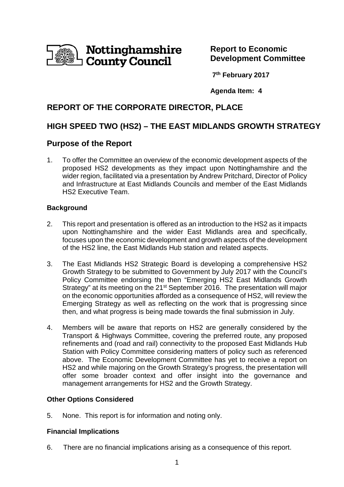

**Report to Economic Development Committee** 

**7 th February 2017**

**Agenda Item: 4**

# **REPORT OF THE CORPORATE DIRECTOR, PLACE**

# **HIGH SPEED TWO (HS2) – THE EAST MIDLANDS GROWTH STRATEGY**

## **Purpose of the Report**

1. To offer the Committee an overview of the economic development aspects of the proposed HS2 developments as they impact upon Nottinghamshire and the wider region, facilitated via a presentation by Andrew Pritchard, Director of Policy and Infrastructure at East Midlands Councils and member of the East Midlands HS2 Executive Team.

## **Background**

- 2. This report and presentation is offered as an introduction to the HS2 as it impacts upon Nottinghamshire and the wider East Midlands area and specifically, focuses upon the economic development and growth aspects of the development of the HS2 line, the East Midlands Hub station and related aspects.
- 3. The East Midlands HS2 Strategic Board is developing a comprehensive HS2 Growth Strategy to be submitted to Government by July 2017 with the Council's Policy Committee endorsing the then "Emerging HS2 East Midlands Growth Strategy" at its meeting on the 21<sup>st</sup> September 2016. The presentation will major on the economic opportunities afforded as a consequence of HS2, will review the Emerging Strategy as well as reflecting on the work that is progressing since then, and what progress is being made towards the final submission in July.
- 4. Members will be aware that reports on HS2 are generally considered by the Transport & Highways Committee, covering the preferred route, any proposed refinements and (road and rail) connectivity to the proposed East Midlands Hub Station with Policy Committee considering matters of policy such as referenced above. The Economic Development Committee has yet to receive a report on HS2 and while majoring on the Growth Strategy's progress, the presentation will offer some broader context and offer insight into the governance and management arrangements for HS2 and the Growth Strategy.

## **Other Options Considered**

5. None. This report is for information and noting only.

## **Financial Implications**

6. There are no financial implications arising as a consequence of this report.